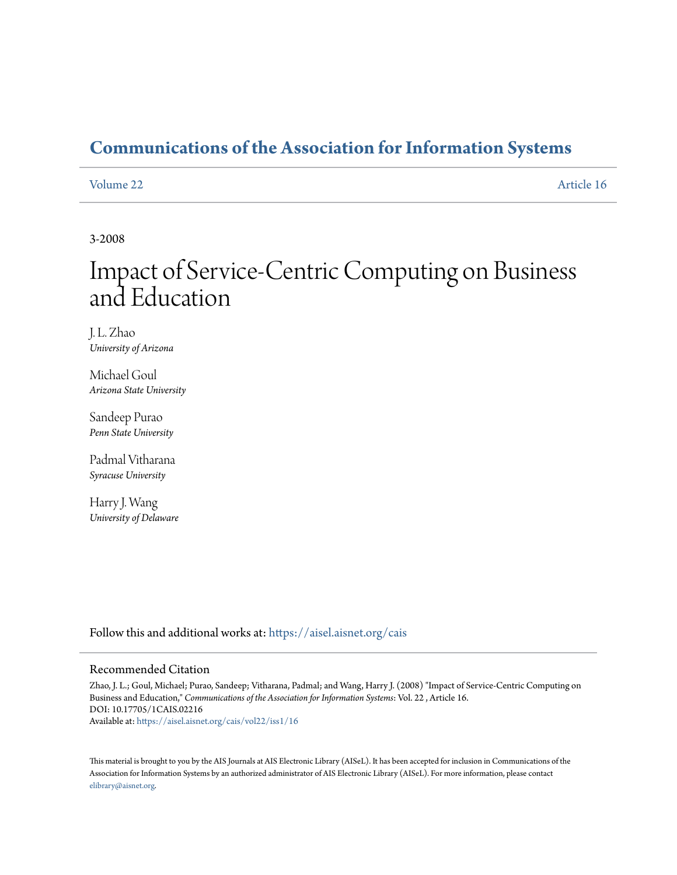# **[Communications of the Association for Information Systems](https://aisel.aisnet.org/cais?utm_source=aisel.aisnet.org%2Fcais%2Fvol22%2Fiss1%2F16&utm_medium=PDF&utm_campaign=PDFCoverPages)**

#### [Volume 22](https://aisel.aisnet.org/cais/vol22?utm_source=aisel.aisnet.org%2Fcais%2Fvol22%2Fiss1%2F16&utm_medium=PDF&utm_campaign=PDFCoverPages) [Article 16](https://aisel.aisnet.org/cais/vol22/iss1/16?utm_source=aisel.aisnet.org%2Fcais%2Fvol22%2Fiss1%2F16&utm_medium=PDF&utm_campaign=PDFCoverPages)

3-2008

# Impact of Service-Centric Computing on Business and Education

J. L. Zhao *University of Arizona*

Michael Goul *Arizona State University*

Sandeep Purao *Penn State University*

Padmal Vitharana *Syracuse University*

Harry J. Wang *University of Delaware*

Follow this and additional works at: [https://aisel.aisnet.org/cais](https://aisel.aisnet.org/cais?utm_source=aisel.aisnet.org%2Fcais%2Fvol22%2Fiss1%2F16&utm_medium=PDF&utm_campaign=PDFCoverPages)

#### Recommended Citation

Zhao, J. L.; Goul, Michael; Purao, Sandeep; Vitharana, Padmal; and Wang, Harry J. (2008) "Impact of Service-Centric Computing on Business and Education," *Communications of the Association for Information Systems*: Vol. 22 , Article 16. DOI: 10.17705/1CAIS.02216 Available at: [https://aisel.aisnet.org/cais/vol22/iss1/16](https://aisel.aisnet.org/cais/vol22/iss1/16?utm_source=aisel.aisnet.org%2Fcais%2Fvol22%2Fiss1%2F16&utm_medium=PDF&utm_campaign=PDFCoverPages)

This material is brought to you by the AIS Journals at AIS Electronic Library (AISeL). It has been accepted for inclusion in Communications of the Association for Information Systems by an authorized administrator of AIS Electronic Library (AISeL). For more information, please contact [elibrary@aisnet.org.](mailto:elibrary@aisnet.org%3E)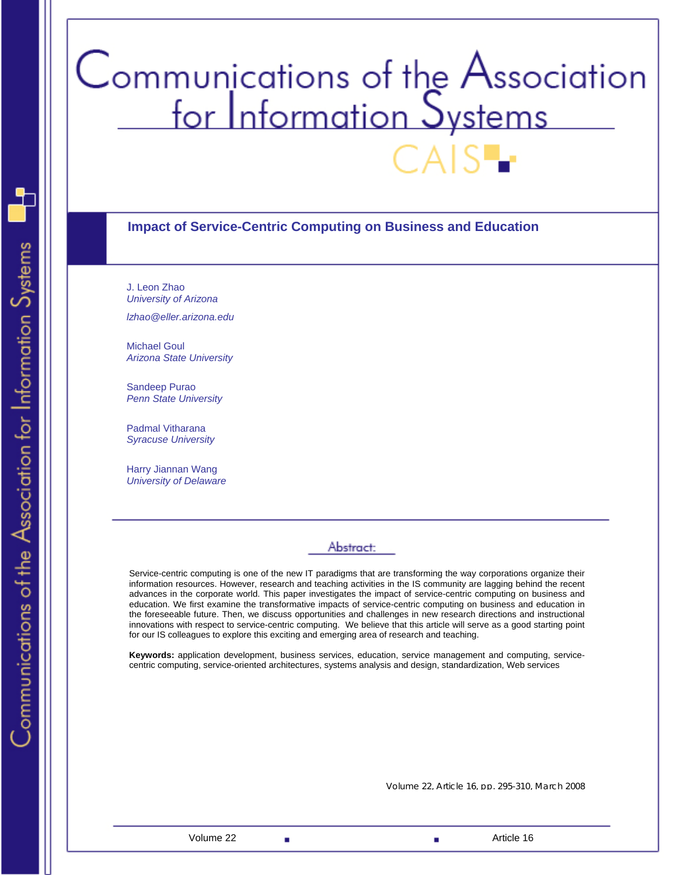# Communications of the Association<br>for Information Systems

#### **Impact of Service-Centric Computing on Business and Education**

J. Leon Zhao *University of Arizona* 

*lzhao@eller.arizona.edu* 

Michael Goul *Arizona State University* 

Sandeep Purao *Penn State University* 

Padmal Vitharana *Syracuse University* 

Harry Jiannan Wang *University of Delaware* 

### Abstract:

Service-centric computing is one of the new IT paradigms that are transforming the way corporations organize their information resources. However, research and teaching activities in the IS community are lagging behind the recent advances in the corporate world. This paper investigates the impact of service-centric computing on business and education. We first examine the transformative impacts of service-centric computing on business and education in the foreseeable future. Then, we discuss opportunities and challenges in new research directions and instructional innovations with respect to service-centric computing. We believe that this article will serve as a good starting point for our IS colleagues to explore this exciting and emerging area of research and teaching.

**Keywords:** application development, business services, education, service management and computing, servicecentric computing, service-oriented architectures, systems analysis and design, standardization, Web services

Volume 22, Article 16, pp. 295-310, March 2008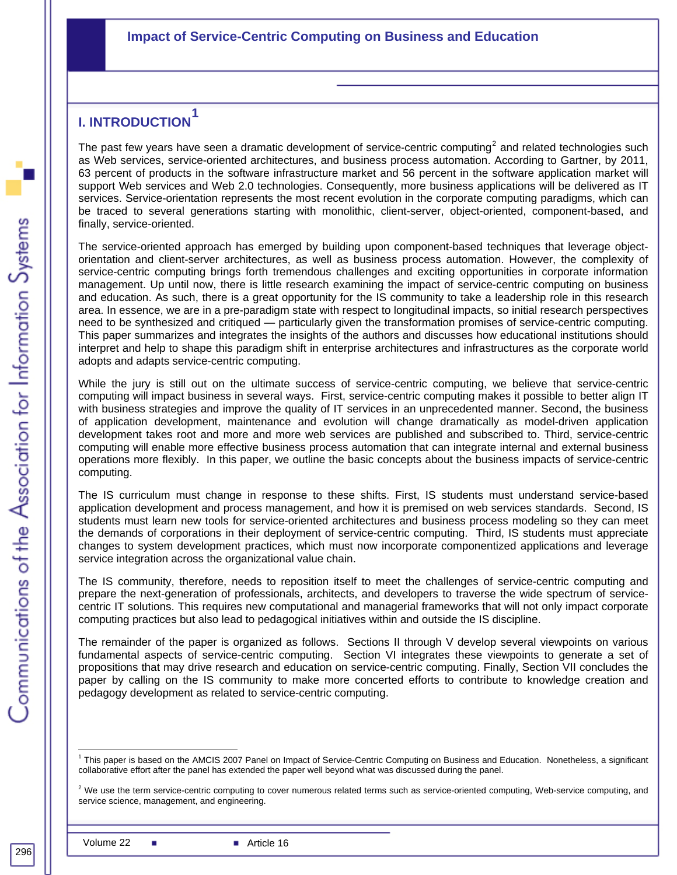# **I. INTRODUCTION[1](#page-2-0)**

The past few years have seen a dramatic development of service-centric computing<sup>[2](#page-2-1)</sup> and related technologies such as Web services, service-oriented architectures, and business process automation. According to Gartner, by 2011, 63 percent of products in the software infrastructure market and 56 percent in the software application market will support Web services and Web 2.0 technologies. Consequently, more business applications will be delivered as IT services. Service-orientation represents the most recent evolution in the corporate computing paradigms, which can be traced to several generations starting with monolithic, client-server, object-oriented, component-based, and finally, service-oriented.

The service-oriented approach has emerged by building upon component-based techniques that leverage objectorientation and client-server architectures, as well as business process automation. However, the complexity of service-centric computing brings forth tremendous challenges and exciting opportunities in corporate information management. Up until now, there is little research examining the impact of service-centric computing on business and education. As such, there is a great opportunity for the IS community to take a leadership role in this research area. In essence, we are in a pre-paradigm state with respect to longitudinal impacts, so initial research perspectives need to be synthesized and critiqued — particularly given the transformation promises of service-centric computing. This paper summarizes and integrates the insights of the authors and discusses how educational institutions should interpret and help to shape this paradigm shift in enterprise architectures and infrastructures as the corporate world adopts and adapts service-centric computing.

While the jury is still out on the ultimate success of service-centric computing, we believe that service-centric computing will impact business in several ways. First, service-centric computing makes it possible to better align IT with business strategies and improve the quality of IT services in an unprecedented manner. Second, the business of application development, maintenance and evolution will change dramatically as model-driven application development takes root and more and more web services are published and subscribed to. Third, service-centric computing will enable more effective business process automation that can integrate internal and external business operations more flexibly. In this paper, we outline the basic concepts about the business impacts of service-centric computing.

The IS curriculum must change in response to these shifts. First, IS students must understand service-based application development and process management, and how it is premised on web services standards. Second, IS students must learn new tools for service-oriented architectures and business process modeling so they can meet the demands of corporations in their deployment of service-centric computing. Third, IS students must appreciate changes to system development practices, which must now incorporate componentized applications and leverage service integration across the organizational value chain.

The IS community, therefore, needs to reposition itself to meet the challenges of service-centric computing and prepare the next-generation of professionals, architects, and developers to traverse the wide spectrum of servicecentric IT solutions. This requires new computational and managerial frameworks that will not only impact corporate computing practices but also lead to pedagogical initiatives within and outside the IS discipline.

The remainder of the paper is organized as follows. Sections II through V develop several viewpoints on various fundamental aspects of service-centric computing. Section VI integrates these viewpoints to generate a set of propositions that may drive research and education on service-centric computing. Finally, Section VII concludes the paper by calling on the IS community to make more concerted efforts to contribute to knowledge creation and pedagogy development as related to service-centric computing.

<span id="page-2-0"></span>l 1 This paper is based on the AMCIS 2007 Panel on Impact of Service-Centric Computing on Business and Education. Nonetheless, a significant collaborative effort after the panel has extended the paper well beyond what was discussed during the panel.

<span id="page-2-1"></span> $2$  We use the term service-centric computing to cover numerous related terms such as service-oriented computing, Web-service computing, and service science, management, and engineering.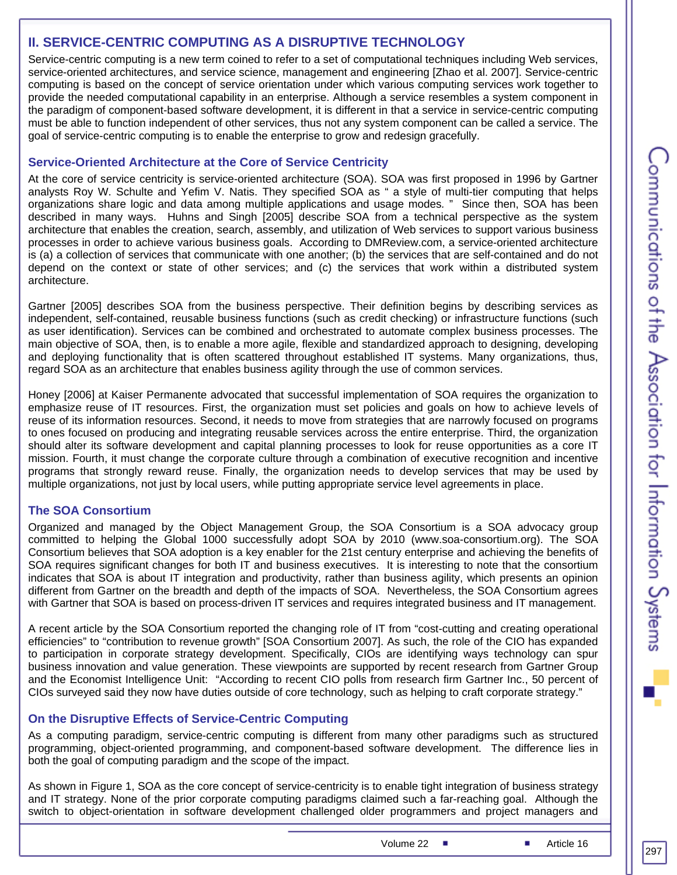#### **II. SERVICE-CENTRIC COMPUTING AS A DISRUPTIVE TECHNOLOGY**

Service-centric computing is a new term coined to refer to a set of computational techniques including Web services, service-oriented architectures, and service science, management and engineering [Zhao et al. 2007]. Service-centric computing is based on the concept of service orientation under which various computing services work together to provide the needed computational capability in an enterprise. Although a service resembles a system component in the paradigm of component-based software development, it is different in that a service in service-centric computing must be able to function independent of other services, thus not any system component can be called a service. The goal of service-centric computing is to enable the enterprise to grow and redesign gracefully.

#### **Service-Oriented Architecture at the Core of Service Centricity**

At the core of service centricity is service-oriented architecture (SOA). SOA was first proposed in 1996 by Gartner analysts Roy W. Schulte and Yefim V. Natis. They specified SOA as " a style of multi-tier computing that helps organizations share logic and data among multiple applications and usage modes*.* " Since then, SOA has been described in many ways. Huhns and Singh [2005] describe SOA from a technical perspective as the system architecture that enables the creation, search, assembly, and utilization of Web services to support various business processes in order to achieve various business goals. According to DMReview.com, a service-oriented architecture is (a) a collection of services that communicate with one another; (b) the services that are self-contained and do not depend on the context or state of other services; and (c) the services that work within a distributed system architecture.

Gartner [2005] describes SOA from the business perspective. Their definition begins by describing services as independent, self-contained, reusable business functions (such as credit checking) or infrastructure functions (such as user identification). Services can be combined and orchestrated to automate complex business processes. The main objective of SOA, then, is to enable a more agile, flexible and standardized approach to designing, developing and deploying functionality that is often scattered throughout established IT systems. Many organizations, thus, regard SOA as an architecture that enables business agility through the use of common services.

Honey [2006] at Kaiser Permanente advocated that successful implementation of SOA requires the organization to emphasize reuse of IT resources. First, the organization must set policies and goals on how to achieve levels of reuse of its information resources. Second, it needs to move from strategies that are narrowly focused on programs to ones focused on producing and integrating reusable services across the entire enterprise. Third, the organization should alter its software development and capital planning processes to look for reuse opportunities as a core IT mission. Fourth, it must change the corporate culture through a combination of executive recognition and incentive programs that strongly reward reuse. Finally, the organization needs to develop services that may be used by multiple organizations, not just by local users, while putting appropriate service level agreements in place.

#### **The SOA Consortium**

Organized and managed by the Object Management Group, the SOA Consortium is a SOA advocacy group committed to helping the Global 1000 successfully adopt SOA by 2010 (www.soa-consortium.org). The SOA Consortium believes that SOA adoption is a key enabler for the 21st century enterprise and achieving the benefits of SOA requires significant changes for both IT and business executives. It is interesting to note that the consortium indicates that SOA is about IT integration and productivity, rather than business agility, which presents an opinion different from Gartner on the breadth and depth of the impacts of SOA. Nevertheless, the SOA Consortium agrees with Gartner that SOA is based on process-driven IT services and requires integrated business and IT management.

A recent article by the SOA Consortium reported the changing role of IT from "cost-cutting and creating operational efficiencies" to "contribution to revenue growth" [SOA Consortium 2007]. As such, the role of the CIO has expanded to participation in corporate strategy development. Specifically, CIOs are identifying ways technology can spur business innovation and value generation. These viewpoints are supported by recent research from Gartner Group and the Economist Intelligence Unit: "According to recent CIO polls from research firm Gartner Inc., 50 percent of CIOs surveyed said they now have duties outside of core technology, such as helping to craft corporate strategy."

#### **On the Disruptive Effects of Service-Centric Computing**

As a computing paradigm, service-centric computing is different from many other paradigms such as structured programming, object-oriented programming, and component-based software development. The difference lies in both the goal of computing paradigm and the scope of the impact.

As shown in Figure 1, SOA as the core concept of service-centricity is to enable tight integration of business strategy and IT strategy. None of the prior corporate computing paradigms claimed such a far-reaching goal. Although the switch to object-orientation in software development challenged older programmers and project managers and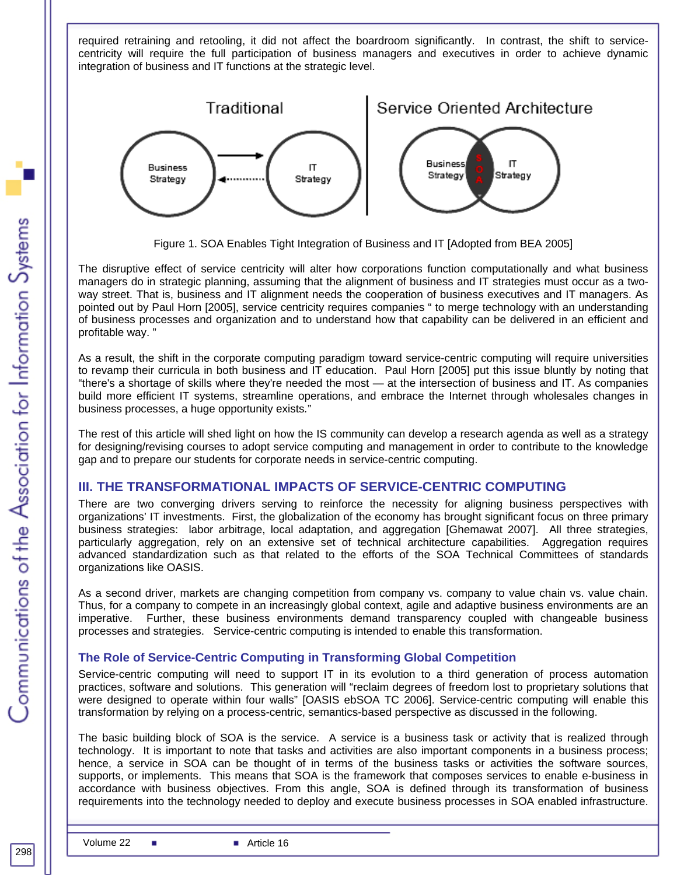required retraining and retooling, it did not affect the boardroom significantly. In contrast, the shift to servicecentricity will require the full participation of business managers and executives in order to achieve dynamic integration of business and IT functions at the strategic level.



Figure 1. SOA Enables Tight Integration of Business and IT [Adopted from BEA 2005]

The disruptive effect of service centricity will alter how corporations function computationally and what business managers do in strategic planning, assuming that the alignment of business and IT strategies must occur as a twoway street. That is, business and IT alignment needs the cooperation of business executives and IT managers. As pointed out by Paul Horn [2005], service centricity requires companies " to merge technology with an understanding of business processes and organization and to understand how that capability can be delivered in an efficient and profitable way. "

As a result, the shift in the corporate computing paradigm toward service-centric computing will require universities to revamp their curricula in both business and IT education. Paul Horn [2005] put this issue bluntly by noting that "there's a shortage of skills where they're needed the most — at the intersection of business and IT. As companies build more efficient IT systems, streamline operations, and embrace the Internet through wholesales changes in business processes, a huge opportunity exists*.*"

The rest of this article will shed light on how the IS community can develop a research agenda as well as a strategy for designing/revising courses to adopt service computing and management in order to contribute to the knowledge gap and to prepare our students for corporate needs in service-centric computing.

# **III. THE TRANSFORMATIONAL IMPACTS OF SERVICE-CENTRIC COMPUTING**

There are two converging drivers serving to reinforce the necessity for aligning business perspectives with organizations' IT investments. First, the globalization of the economy has brought significant focus on three primary business strategies: labor arbitrage, local adaptation, and aggregation [Ghemawat 2007]. All three strategies, particularly aggregation, rely on an extensive set of technical architecture capabilities. Aggregation requires advanced standardization such as that related to the efforts of the SOA Technical Committees of standards organizations like OASIS.

As a second driver, markets are changing competition from company vs. company to value chain vs. value chain. Thus, for a company to compete in an increasingly global context, agile and adaptive business environments are an imperative. Further, these business environments demand transparency coupled with changeable business processes and strategies. Service-centric computing is intended to enable this transformation.

#### **The Role of Service-Centric Computing in Transforming Global Competition**

Service-centric computing will need to support IT in its evolution to a third generation of process automation practices, software and solutions. This generation will "reclaim degrees of freedom lost to proprietary solutions that were designed to operate within four walls" [OASIS ebSOA TC 2006]. Service-centric computing will enable this transformation by relying on a process-centric, semantics-based perspective as discussed in the following.

The basic building block of SOA is the service. A service is a business task or activity that is realized through technology. It is important to note that tasks and activities are also important components in a business process; hence, a service in SOA can be thought of in terms of the business tasks or activities the software sources, supports, or implements. This means that SOA is the framework that composes services to enable e-business in accordance with business objectives. From this angle, SOA is defined through its transformation of business requirements into the technology needed to deploy and execute business processes in SOA enabled infrastructure.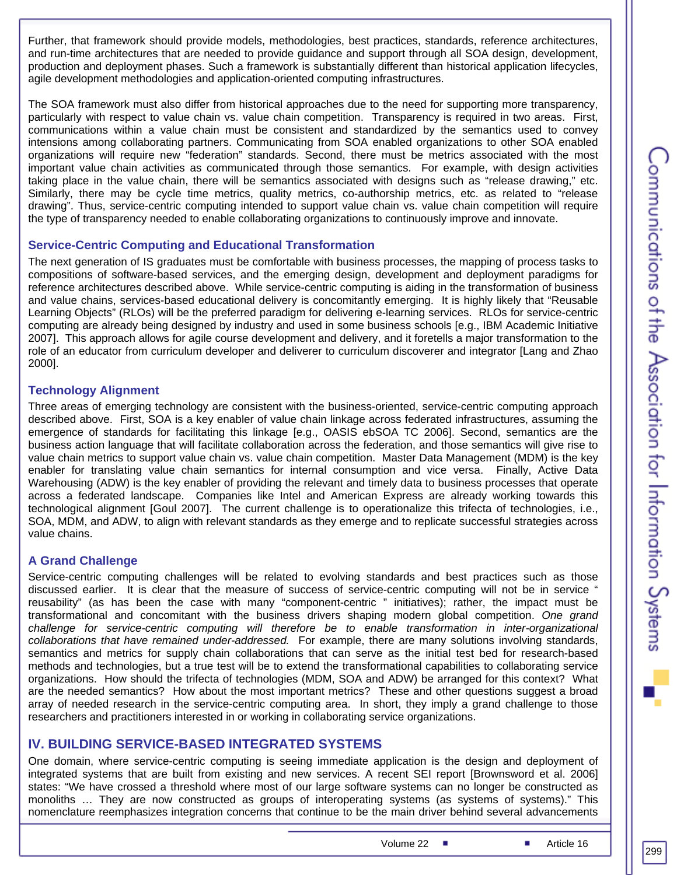Further, that framework should provide models, methodologies, best practices, standards, reference architectures, and run-time architectures that are needed to provide guidance and support through all SOA design, development, production and deployment phases. Such a framework is substantially different than historical application lifecycles, agile development methodologies and application-oriented computing infrastructures.

The SOA framework must also differ from historical approaches due to the need for supporting more transparency, particularly with respect to value chain vs. value chain competition. Transparency is required in two areas. First, communications within a value chain must be consistent and standardized by the semantics used to convey intensions among collaborating partners. Communicating from SOA enabled organizations to other SOA enabled organizations will require new "federation" standards. Second, there must be metrics associated with the most important value chain activities as communicated through those semantics. For example, with design activities taking place in the value chain, there will be semantics associated with designs such as "release drawing," etc. Similarly, there may be cycle time metrics, quality metrics, co-authorship metrics, etc. as related to "release drawing". Thus, service-centric computing intended to support value chain vs. value chain competition will require the type of transparency needed to enable collaborating organizations to continuously improve and innovate.

#### **Service-Centric Computing and Educational Transformation**

The next generation of IS graduates must be comfortable with business processes, the mapping of process tasks to compositions of software-based services, and the emerging design, development and deployment paradigms for reference architectures described above. While service-centric computing is aiding in the transformation of business and value chains, services-based educational delivery is concomitantly emerging. It is highly likely that "Reusable Learning Objects" (RLOs) will be the preferred paradigm for delivering e-learning services. RLOs for service-centric computing are already being designed by industry and used in some business schools [e.g., IBM Academic Initiative 2007]. This approach allows for agile course development and delivery, and it foretells a major transformation to the role of an educator from curriculum developer and deliverer to curriculum discoverer and integrator [Lang and Zhao 2000].

#### **Technology Alignment**

Three areas of emerging technology are consistent with the business-oriented, service-centric computing approach described above. First, SOA is a key enabler of value chain linkage across federated infrastructures, assuming the emergence of standards for facilitating this linkage [e.g., OASIS ebSOA TC 2006]. Second, semantics are the business action language that will facilitate collaboration across the federation, and those semantics will give rise to value chain metrics to support value chain vs. value chain competition. Master Data Management (MDM) is the key enabler for translating value chain semantics for internal consumption and vice versa. Finally, Active Data Warehousing (ADW) is the key enabler of providing the relevant and timely data to business processes that operate across a federated landscape. Companies like Intel and American Express are already working towards this technological alignment [Goul 2007]. The current challenge is to operationalize this trifecta of technologies, i.e., SOA, MDM, and ADW, to align with relevant standards as they emerge and to replicate successful strategies across value chains.

#### **A Grand Challenge**

Service-centric computing challenges will be related to evolving standards and best practices such as those discussed earlier. It is clear that the measure of success of service-centric computing will not be in service " reusability" (as has been the case with many "component-centric " initiatives); rather, the impact must be transformational and concomitant with the business drivers shaping modern global competition. *One grand challenge for service-centric computing will therefore be to enable transformation in inter-organizational collaborations that have remained under-addressed.* For example, there are many solutions involving standards, semantics and metrics for supply chain collaborations that can serve as the initial test bed for research-based methods and technologies, but a true test will be to extend the transformational capabilities to collaborating service organizations. How should the trifecta of technologies (MDM, SOA and ADW) be arranged for this context? What are the needed semantics? How about the most important metrics? These and other questions suggest a broad array of needed research in the service-centric computing area. In short, they imply a grand challenge to those researchers and practitioners interested in or working in collaborating service organizations.

#### **IV. BUILDING SERVICE-BASED INTEGRATED SYSTEMS**

One domain, where service-centric computing is seeing immediate application is the design and deployment of integrated systems that are built from existing and new services. A recent SEI report [Brownsword et al. 2006] states: "We have crossed a threshold where most of our large software systems can no longer be constructed as monoliths … They are now constructed as groups of interoperating systems (as systems of systems)." This nomenclature reemphasizes integration concerns that continue to be the main driver behind several advancements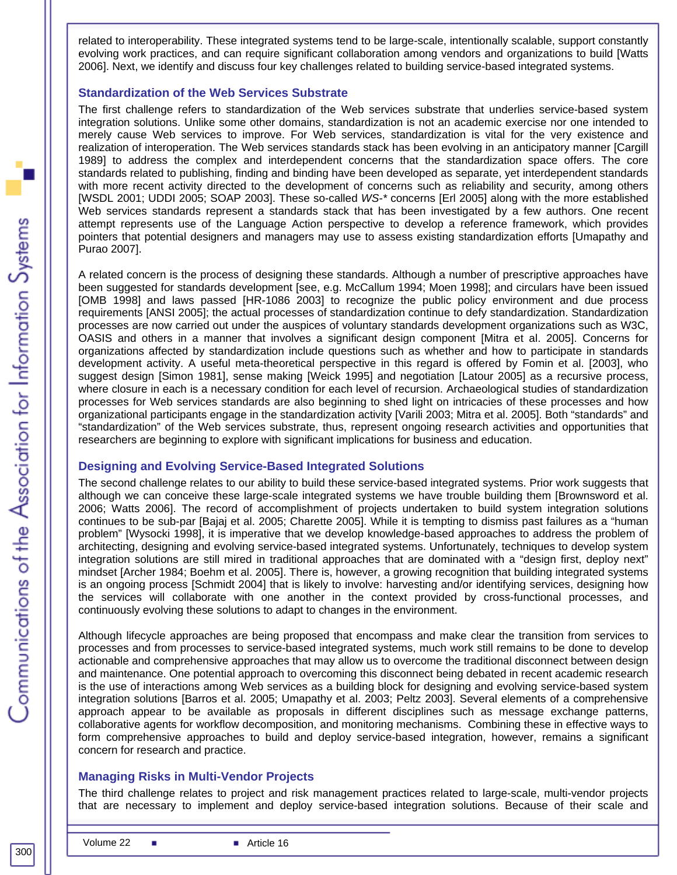related to interoperability. These integrated systems tend to be large-scale, intentionally scalable, support constantly evolving work practices, and can require significant collaboration among vendors and organizations to build [Watts 2006]. Next, we identify and discuss four key challenges related to building service-based integrated systems.

#### **Standardization of the Web Services Substrate**

The first challenge refers to standardization of the Web services substrate that underlies service-based system integration solutions. Unlike some other domains, standardization is not an academic exercise nor one intended to merely cause Web services to improve. For Web services, standardization is vital for the very existence and realization of interoperation. The Web services standards stack has been evolving in an anticipatory manner [Cargill 1989] to address the complex and interdependent concerns that the standardization space offers. The core standards related to publishing, finding and binding have been developed as separate, yet interdependent standards with more recent activity directed to the development of concerns such as reliability and security, among others [WSDL 2001; UDDI 2005; SOAP 2003]. These so-called *WS-\** concerns [Erl 2005] along with the more established Web services standards represent a standards stack that has been investigated by a few authors. One recent attempt represents use of the Language Action perspective to develop a reference framework, which provides pointers that potential designers and managers may use to assess existing standardization efforts [Umapathy and Purao 2007].

A related concern is the process of designing these standards. Although a number of prescriptive approaches have been suggested for standards development [see, e.g. McCallum 1994; Moen 1998]; and circulars have been issued [OMB 1998] and laws passed [HR-1086 2003] to recognize the public policy environment and due process requirements [ANSI 2005]; the actual processes of standardization continue to defy standardization. Standardization processes are now carried out under the auspices of voluntary standards development organizations such as W3C, OASIS and others in a manner that involves a significant design component [Mitra et al. 2005]. Concerns for organizations affected by standardization include questions such as whether and how to participate in standards development activity. A useful meta-theoretical perspective in this regard is offered by Fomin et al. [2003], who suggest design [Simon 1981], sense making [Weick 1995] and negotiation [Latour 2005] as a recursive process, where closure in each is a necessary condition for each level of recursion. Archaeological studies of standardization processes for Web services standards are also beginning to shed light on intricacies of these processes and how organizational participants engage in the standardization activity [Varili 2003; Mitra et al. 2005]. Both "standards" and "standardization" of the Web services substrate, thus, represent ongoing research activities and opportunities that researchers are beginning to explore with significant implications for business and education.

#### **Designing and Evolving Service-Based Integrated Solutions**

The second challenge relates to our ability to build these service-based integrated systems. Prior work suggests that although we can conceive these large-scale integrated systems we have trouble building them [Brownsword et al. 2006; Watts 2006]. The record of accomplishment of projects undertaken to build system integration solutions continues to be sub-par [Bajaj et al. 2005; Charette 2005]. While it is tempting to dismiss past failures as a "human problem" [Wysocki 1998], it is imperative that we develop knowledge-based approaches to address the problem of architecting, designing and evolving service-based integrated systems. Unfortunately, techniques to develop system integration solutions are still mired in traditional approaches that are dominated with a "design first, deploy next" mindset [Archer 1984; Boehm et al. 2005]. There is, however, a growing recognition that building integrated systems is an ongoing process [Schmidt 2004] that is likely to involve: harvesting and/or identifying services, designing how the services will collaborate with one another in the context provided by cross-functional processes, and continuously evolving these solutions to adapt to changes in the environment.

Although lifecycle approaches are being proposed that encompass and make clear the transition from services to processes and from processes to service-based integrated systems, much work still remains to be done to develop actionable and comprehensive approaches that may allow us to overcome the traditional disconnect between design and maintenance. One potential approach to overcoming this disconnect being debated in recent academic research is the use of interactions among Web services as a building block for designing and evolving service-based system integration solutions [Barros et al. 2005; Umapathy et al. 2003; Peltz 2003]. Several elements of a comprehensive approach appear to be available as proposals in different disciplines such as message exchange patterns, collaborative agents for workflow decomposition, and monitoring mechanisms. Combining these in effective ways to form comprehensive approaches to build and deploy service-based integration, however, remains a significant concern for research and practice.

#### **Managing Risks in Multi-Vendor Projects**

The third challenge relates to project and risk management practices related to large-scale, multi-vendor projects that are necessary to implement and deploy service-based integration solutions. Because of their scale and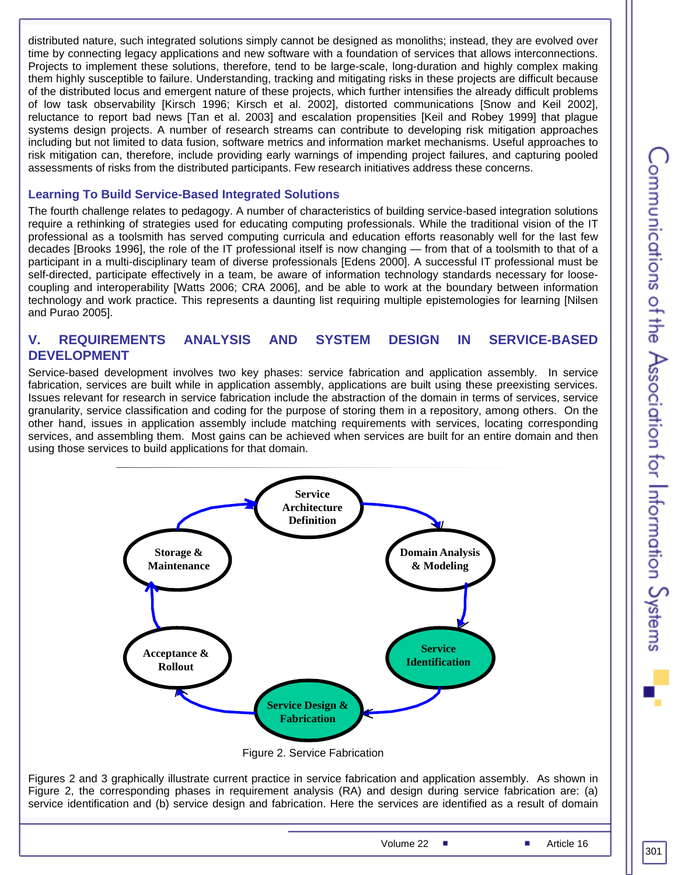distributed nature, such integrated solutions simply cannot be designed as monoliths; instead, they are evolved over time by connecting legacy applications and new software with a foundation of services that allows interconnections. Projects to implement these solutions, therefore, tend to be large-scale, long-duration and highly complex making them highly susceptible to failure. Understanding, tracking and mitigating risks in these projects are difficult because of the distributed locus and emergent nature of these projects, which further intensifies the already difficult problems of low task observability [Kirsch 1996; Kirsch et al. 2002], distorted communications [Snow and Keil 2002], reluctance to report bad news [Tan et al. 2003] and escalation propensities [Keil and Robey 1999] that plague systems design projects. A number of research streams can contribute to developing risk mitigation approaches including but not limited to data fusion, software metrics and information market mechanisms. Useful approaches to risk mitigation can, therefore, include providing early warnings of impending project failures, and capturing pooled assessments of risks from the distributed participants. Few research initiatives address these concerns.

#### **Learning To Build Service-Based Integrated Solutions**

The fourth challenge relates to pedagogy. A number of characteristics of building service-based integration solutions require a rethinking of strategies used for educating computing professionals. While the traditional vision of the IT professional as a toolsmith has served computing curricula and education efforts reasonably well for the last few decades [Brooks 1996], the role of the IT professional itself is now changing — from that of a toolsmith to that of a participant in a multi-disciplinary team of diverse professionals [Edens 2000]. A successful IT professional must be self-directed, participate effectively in a team, be aware of information technology standards necessary for loosecoupling and interoperability [Watts 2006; CRA 2006], and be able to work at the boundary between information technology and work practice. This represents a daunting list requiring multiple epistemologies for learning [Nilsen and Purao 2005].

#### **V. REQUIREMENTS ANALYSIS AND SYSTEM DESIGN IN SERVICE-BASED DEVELOPMENT**

Service-based development involves two key phases: service fabrication and application assembly. In service fabrication, services are built while in application assembly, applications are built using these preexisting services. Issues relevant for research in service fabrication include the abstraction of the domain in terms of services, service granularity, service classification and coding for the purpose of storing them in a repository, among others. On the other hand, issues in application assembly include matching requirements with services, locating corresponding services, and assembling them. Most gains can be achieved when services are built for an entire domain and then using those services to build applications for that domain.



Figure 2. Service Fabrication

Figures 2 and 3 graphically illustrate current practice in service fabrication and application assembly. As shown in Figure 2, the corresponding phases in requirement analysis (RA) and design during service fabrication are: (a) service identification and (b) service design and fabrication. Here the services are identified as a result of domain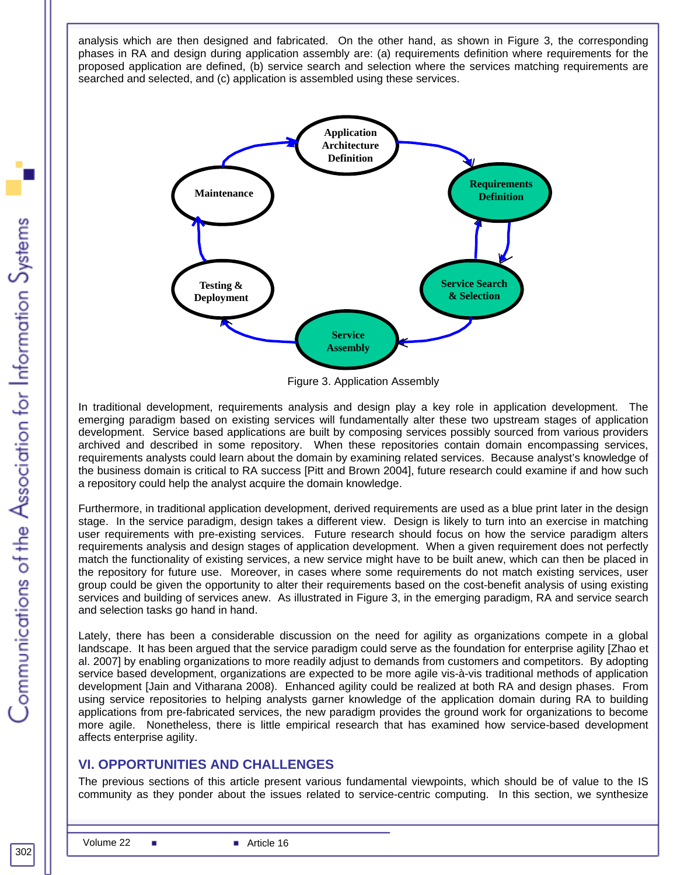analysis which are then designed and fabricated. On the other hand, as shown in Figure 3, the corresponding phases in RA and design during application assembly are: (a) requirements definition where requirements for the proposed application are defined, (b) service search and selection where the services matching requirements are searched and selected, and (c) application is assembled using these services.



Figure 3. Application Assembly

In traditional development, requirements analysis and design play a key role in application development. The emerging paradigm based on existing services will fundamentally alter these two upstream stages of application development. Service based applications are built by composing services possibly sourced from various providers archived and described in some repository. When these repositories contain domain encompassing services, requirements analysts could learn about the domain by examining related services. Because analyst's knowledge of the business domain is critical to RA success [Pitt and Brown 2004], future research could examine if and how such a repository could help the analyst acquire the domain knowledge.

Furthermore, in traditional application development, derived requirements are used as a blue print later in the design stage. In the service paradigm, design takes a different view. Design is likely to turn into an exercise in matching user requirements with pre-existing services. Future research should focus on how the service paradigm alters requirements analysis and design stages of application development. When a given requirement does not perfectly match the functionality of existing services, a new service might have to be built anew, which can then be placed in the repository for future use. Moreover, in cases where some requirements do not match existing services, user group could be given the opportunity to alter their requirements based on the cost-benefit analysis of using existing services and building of services anew. As illustrated in Figure 3, in the emerging paradigm, RA and service search and selection tasks go hand in hand.

Lately, there has been a considerable discussion on the need for agility as organizations compete in a global landscape. It has been argued that the service paradigm could serve as the foundation for enterprise agility [Zhao et al. 2007] by enabling organizations to more readily adjust to demands from customers and competitors. By adopting service based development, organizations are expected to be more agile vis-à-vis traditional methods of application development [Jain and Vitharana 2008). Enhanced agility could be realized at both RA and design phases. From using service repositories to helping analysts garner knowledge of the application domain during RA to building applications from pre-fabricated services, the new paradigm provides the ground work for organizations to become more agile. Nonetheless, there is little empirical research that has examined how service-based development affects enterprise agility.

# **VI. OPPORTUNITIES AND CHALLENGES**

The previous sections of this article present various fundamental viewpoints, which should be of value to the IS community as they ponder about the issues related to service-centric computing. In this section, we synthesize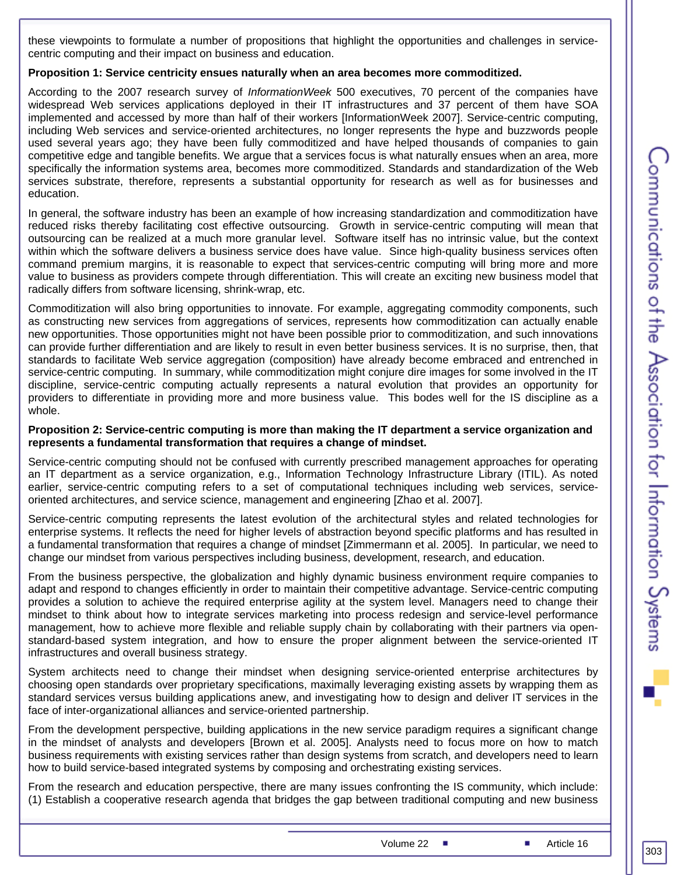these viewpoints to formulate a number of propositions that highlight the opportunities and challenges in servicecentric computing and their impact on business and education.

#### **Proposition 1: Service centricity ensues naturally when an area becomes more commoditized.**

According to the 2007 research survey of *InformationWeek* 500 executives, 70 percent of the companies have widespread Web services applications deployed in their IT infrastructures and 37 percent of them have SOA implemented and accessed by more than half of their workers [InformationWeek 2007]. Service-centric computing, including Web services and service-oriented architectures, no longer represents the hype and buzzwords people used several years ago; they have been fully commoditized and have helped thousands of companies to gain competitive edge and tangible benefits. We argue that a services focus is what naturally ensues when an area, more specifically the information systems area, becomes more commoditized. Standards and standardization of the Web services substrate, therefore, represents a substantial opportunity for research as well as for businesses and education.

In general, the software industry has been an example of how increasing standardization and commoditization have reduced risks thereby facilitating cost effective outsourcing. Growth in service-centric computing will mean that outsourcing can be realized at a much more granular level. Software itself has no intrinsic value, but the context within which the software delivers a business service does have value. Since high-quality business services often command premium margins, it is reasonable to expect that services-centric computing will bring more and more value to business as providers compete through differentiation. This will create an exciting new business model that radically differs from software licensing, shrink-wrap, etc.

Commoditization will also bring opportunities to innovate. For example, aggregating commodity components, such as constructing new services from aggregations of services, represents how commoditization can actually enable new opportunities. Those opportunities might not have been possible prior to commoditization, and such innovations can provide further differentiation and are likely to result in even better business services. It is no surprise, then, that standards to facilitate Web service aggregation (composition) have already become embraced and entrenched in service-centric computing. In summary, while commoditization might conjure dire images for some involved in the IT discipline, service-centric computing actually represents a natural evolution that provides an opportunity for providers to differentiate in providing more and more business value. This bodes well for the IS discipline as a whole.

#### **Proposition 2: Service-centric computing is more than making the IT department a service organization and represents a fundamental transformation that requires a change of mindset.**

Service-centric computing should not be confused with currently prescribed management approaches for operating an IT department as a service organization, e.g., Information Technology Infrastructure Library (ITIL). As noted earlier, service-centric computing refers to a set of computational techniques including web services, serviceoriented architectures, and service science, management and engineering [Zhao et al. 2007].

Service-centric computing represents the latest evolution of the architectural styles and related technologies for enterprise systems. It reflects the need for higher levels of abstraction beyond specific platforms and has resulted in a fundamental transformation that requires a change of mindset [Zimmermann et al. 2005]. In particular, we need to change our mindset from various perspectives including business, development, research, and education.

From the business perspective, the globalization and highly dynamic business environment require companies to adapt and respond to changes efficiently in order to maintain their competitive advantage. Service-centric computing provides a solution to achieve the required enterprise agility at the system level. Managers need to change their mindset to think about how to integrate services marketing into process redesign and service-level performance management, how to achieve more flexible and reliable supply chain by collaborating with their partners via openstandard-based system integration, and how to ensure the proper alignment between the service-oriented IT infrastructures and overall business strategy.

System architects need to change their mindset when designing service-oriented enterprise architectures by choosing open standards over proprietary specifications, maximally leveraging existing assets by wrapping them as standard services versus building applications anew, and investigating how to design and deliver IT services in the face of inter-organizational alliances and service-oriented partnership.

From the development perspective, building applications in the new service paradigm requires a significant change in the mindset of analysts and developers [Brown et al. 2005]. Analysts need to focus more on how to match business requirements with existing services rather than design systems from scratch, and developers need to learn how to build service-based integrated systems by composing and orchestrating existing services.

From the research and education perspective, there are many issues confronting the IS community, which include: (1) Establish a cooperative research agenda that bridges the gap between traditional computing and new business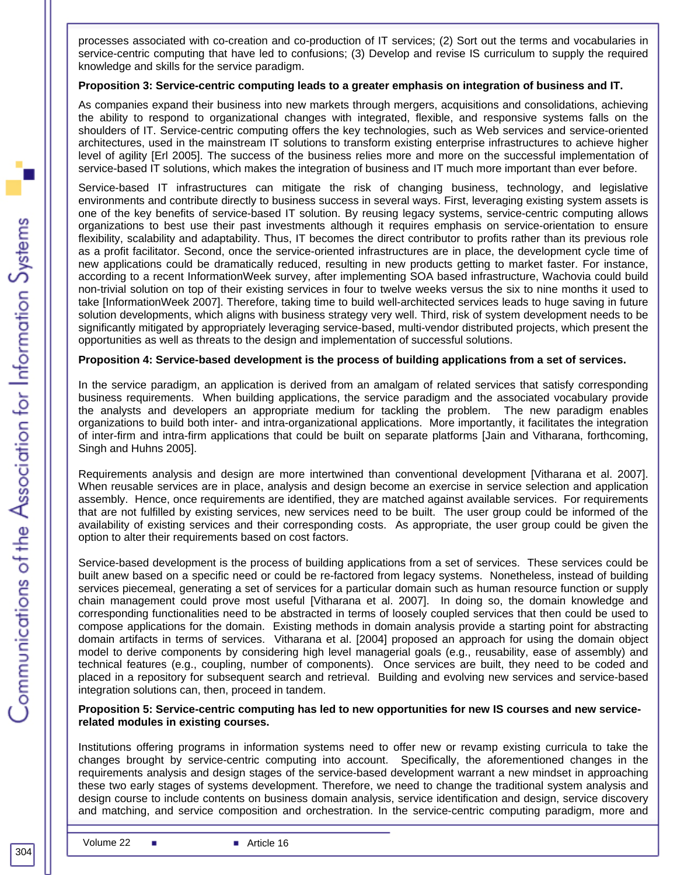processes associated with co-creation and co-production of IT services; (2) Sort out the terms and vocabularies in service-centric computing that have led to confusions; (3) Develop and revise IS curriculum to supply the required knowledge and skills for the service paradigm.

#### **Proposition 3: Service-centric computing leads to a greater emphasis on integration of business and IT.**

As companies expand their business into new markets through mergers, acquisitions and consolidations, achieving the ability to respond to organizational changes with integrated, flexible, and responsive systems falls on the shoulders of IT. Service-centric computing offers the key technologies, such as Web services and service-oriented architectures, used in the mainstream IT solutions to transform existing enterprise infrastructures to achieve higher level of agility [Erl 2005]. The success of the business relies more and more on the successful implementation of service-based IT solutions, which makes the integration of business and IT much more important than ever before.

Service-based IT infrastructures can mitigate the risk of changing business, technology, and legislative environments and contribute directly to business success in several ways. First, leveraging existing system assets is one of the key benefits of service-based IT solution. By reusing legacy systems, service-centric computing allows organizations to best use their past investments although it requires emphasis on service-orientation to ensure flexibility, scalability and adaptability. Thus, IT becomes the direct contributor to profits rather than its previous role as a profit facilitator. Second, once the service-oriented infrastructures are in place, the development cycle time of new applications could be dramatically reduced, resulting in new products getting to market faster. For instance, according to a recent InformationWeek survey, after implementing SOA based infrastructure, Wachovia could build non-trivial solution on top of their existing services in four to twelve weeks versus the six to nine months it used to take [InformationWeek 2007]. Therefore, taking time to build well-architected services leads to huge saving in future solution developments, which aligns with business strategy very well. Third, risk of system development needs to be significantly mitigated by appropriately leveraging service-based, multi-vendor distributed projects, which present the opportunities as well as threats to the design and implementation of successful solutions.

#### **Proposition 4: Service-based development is the process of building applications from a set of services.**

In the service paradigm, an application is derived from an amalgam of related services that satisfy corresponding business requirements. When building applications, the service paradigm and the associated vocabulary provide the analysts and developers an appropriate medium for tackling the problem. The new paradigm enables organizations to build both inter- and intra-organizational applications. More importantly, it facilitates the integration of inter-firm and intra-firm applications that could be built on separate platforms [Jain and Vitharana, forthcoming, Singh and Huhns 2005].

Requirements analysis and design are more intertwined than conventional development [Vitharana et al. 2007]. When reusable services are in place, analysis and design become an exercise in service selection and application assembly. Hence, once requirements are identified, they are matched against available services. For requirements that are not fulfilled by existing services, new services need to be built. The user group could be informed of the availability of existing services and their corresponding costs. As appropriate, the user group could be given the option to alter their requirements based on cost factors.

Service-based development is the process of building applications from a set of services. These services could be built anew based on a specific need or could be re-factored from legacy systems. Nonetheless, instead of building services piecemeal, generating a set of services for a particular domain such as human resource function or supply chain management could prove most useful [Vitharana et al. 2007]. In doing so, the domain knowledge and corresponding functionalities need to be abstracted in terms of loosely coupled services that then could be used to compose applications for the domain. Existing methods in domain analysis provide a starting point for abstracting domain artifacts in terms of services. Vitharana et al. [2004] proposed an approach for using the domain object model to derive components by considering high level managerial goals (e.g., reusability, ease of assembly) and technical features (e.g., coupling, number of components). Once services are built, they need to be coded and placed in a repository for subsequent search and retrieval. Building and evolving new services and service-based integration solutions can, then, proceed in tandem.

#### **Proposition 5: Service-centric computing has led to new opportunities for new IS courses and new servicerelated modules in existing courses.**

Institutions offering programs in information systems need to offer new or revamp existing curricula to take the changes brought by service-centric computing into account. Specifically, the aforementioned changes in the requirements analysis and design stages of the service-based development warrant a new mindset in approaching these two early stages of systems development. Therefore, we need to change the traditional system analysis and design course to include contents on business domain analysis, service identification and design, service discovery and matching, and service composition and orchestration. In the service-centric computing paradigm, more and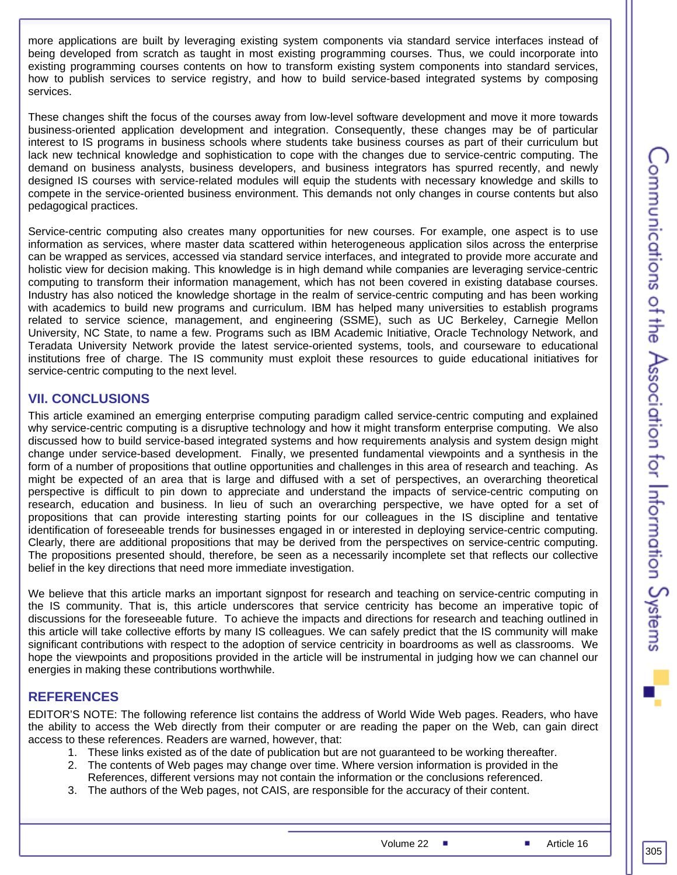more applications are built by leveraging existing system components via standard service interfaces instead of being developed from scratch as taught in most existing programming courses. Thus, we could incorporate into existing programming courses contents on how to transform existing system components into standard services, how to publish services to service registry, and how to build service-based integrated systems by composing services.

These changes shift the focus of the courses away from low-level software development and move it more towards business-oriented application development and integration. Consequently, these changes may be of particular interest to IS programs in business schools where students take business courses as part of their curriculum but lack new technical knowledge and sophistication to cope with the changes due to service-centric computing. The demand on business analysts, business developers, and business integrators has spurred recently, and newly designed IS courses with service-related modules will equip the students with necessary knowledge and skills to compete in the service-oriented business environment. This demands not only changes in course contents but also pedagogical practices.

Service-centric computing also creates many opportunities for new courses. For example, one aspect is to use information as services, where master data scattered within heterogeneous application silos across the enterprise can be wrapped as services, accessed via standard service interfaces, and integrated to provide more accurate and holistic view for decision making. This knowledge is in high demand while companies are leveraging service-centric computing to transform their information management, which has not been covered in existing database courses. Industry has also noticed the knowledge shortage in the realm of service-centric computing and has been working with academics to build new programs and curriculum. IBM has helped many universities to establish programs related to service science, management, and engineering (SSME), such as UC Berkeley, Carnegie Mellon University, NC State, to name a few. Programs such as IBM Academic Initiative, Oracle Technology Network, and Teradata University Network provide the latest service-oriented systems, tools, and courseware to educational institutions free of charge. The IS community must exploit these resources to guide educational initiatives for service-centric computing to the next level.

#### **VII. CONCLUSIONS**

This article examined an emerging enterprise computing paradigm called service-centric computing and explained why service-centric computing is a disruptive technology and how it might transform enterprise computing. We also discussed how to build service-based integrated systems and how requirements analysis and system design might change under service-based development. Finally, we presented fundamental viewpoints and a synthesis in the form of a number of propositions that outline opportunities and challenges in this area of research and teaching. As might be expected of an area that is large and diffused with a set of perspectives, an overarching theoretical perspective is difficult to pin down to appreciate and understand the impacts of service-centric computing on research, education and business. In lieu of such an overarching perspective, we have opted for a set of propositions that can provide interesting starting points for our colleagues in the IS discipline and tentative identification of foreseeable trends for businesses engaged in or interested in deploying service-centric computing. Clearly, there are additional propositions that may be derived from the perspectives on service-centric computing. The propositions presented should, therefore, be seen as a necessarily incomplete set that reflects our collective belief in the key directions that need more immediate investigation.

We believe that this article marks an important signpost for research and teaching on service-centric computing in the IS community. That is, this article underscores that service centricity has become an imperative topic of discussions for the foreseeable future. To achieve the impacts and directions for research and teaching outlined in this article will take collective efforts by many IS colleagues. We can safely predict that the IS community will make significant contributions with respect to the adoption of service centricity in boardrooms as well as classrooms. We hope the viewpoints and propositions provided in the article will be instrumental in judging how we can channel our energies in making these contributions worthwhile.

# **REFERENCES**

EDITOR'S NOTE: The following reference list contains the address of World Wide Web pages. Readers, who have the ability to access the Web directly from their computer or are reading the paper on the Web, can gain direct access to these references. Readers are warned, however, that:

- 1. These links existed as of the date of publication but are not guaranteed to be working thereafter.
- 2. The contents of Web pages may change over time. Where version information is provided in the References, different versions may not contain the information or the conclusions referenced.
- 3. The authors of the Web pages, not CAIS, are responsible for the accuracy of their content.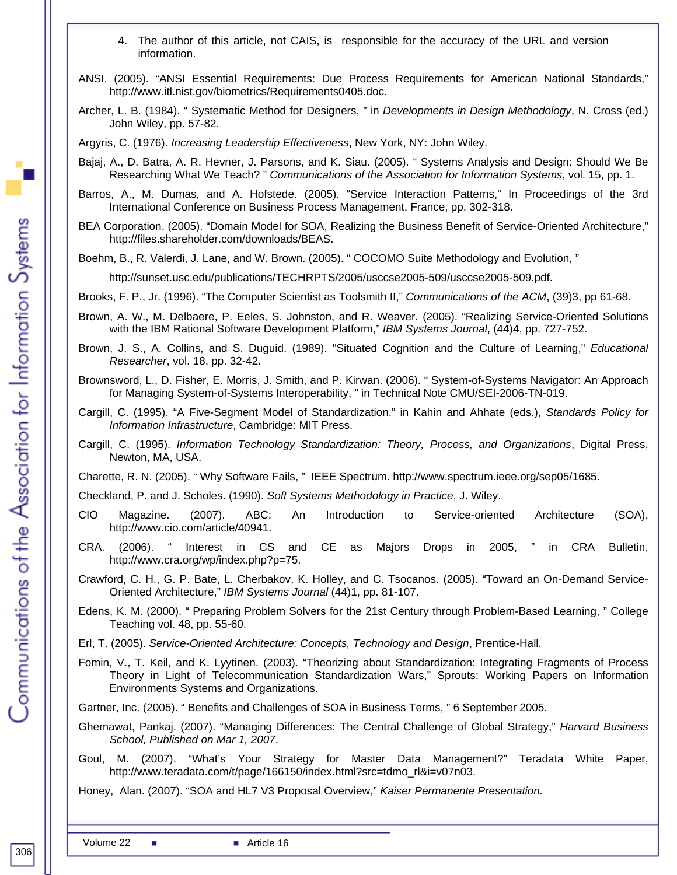- 4. The author of this article, not CAIS, is responsible for the accuracy of the URL and version information.
- ANSI. (2005). "ANSI Essential Requirements: Due Process Requirements for American National Standards," [http://www.itl.nist.gov/biometrics/Requirements0405.doc.](http://www.itl.nist.gov/biometrics/Requirements0405.doc)
- Archer, L. B. (1984). " Systematic Method for Designers, " in *Developments in Design Methodology*, N. Cross (ed.) John Wiley, pp. 57-82.

Argyris, C. (1976). *Increasing Leadership Effectiveness*, New York, NY: John Wiley.

- Bajaj, A., D. Batra, A. R. Hevner, J. Parsons, and K. Siau. (2005). " Systems Analysis and Design: Should We Be Researching What We Teach? " *Communications of the Association for Information Systems*, vol. 15, pp. 1.
- Barros, A., M. Dumas, and A. Hofstede. (2005). "Service Interaction Patterns," In Proceedings of the 3rd International Conference on Business Process Management, France, pp. 302-318.
- BEA Corporation. (2005). "Domain Model for SOA, Realizing the Business Benefit of Service-Oriented Architecture," <http://files.shareholder.com/downloads/BEAS>.
- Boehm, B., R. Valerdi, J. Lane, and W. Brown. (2005). " COCOMO Suite Methodology and Evolution, "

<http://sunset.usc.edu/publications/TECHRPTS/2005/usccse2005-509/usccse2005-509.pdf>.

- Brooks, F. P., Jr. (1996). "The Computer Scientist as Toolsmith II," *Communications of the ACM*, (39)3, pp 61-68.
- Brown, A. W., M. Delbaere, P. Eeles, S. Johnston, and R. Weaver. (2005). "Realizing Service-Oriented Solutions with the IBM Rational Software Development Platform," *IBM Systems Journal*, (44)4, pp. 727-752.
- Brown, J. S., A. Collins, and S. Duguid. (1989). "Situated Cognition and the Culture of Learning," *Educational Researcher*, vol. 18, pp. 32-42.
- Brownsword, L., D. Fisher, E. Morris, J. Smith, and P. Kirwan. (2006). " System-of-Systems Navigator: An Approach for Managing System-of-Systems Interoperability, " in Technical Note CMU/SEI-2006-TN-019.
- Cargill, C. (1995). "A Five-Segment Model of Standardization." in Kahin and Ahhate (eds.), *Standards Policy for Information Infrastructure*, Cambridge: MIT Press.
- Cargill, C. (1995). *Information Technology Standardization: Theory, Process, and Organizations*, Digital Press, Newton, MA, USA.

Charette, R. N. (2005). " Why Software Fails, " IEEE Spectrum.<http://www.spectrum.ieee.org/sep05/1685>.

Checkland, P. and J. Scholes. (1990). *Soft Systems Methodology in Practice*, J. Wiley.

- CIO Magazine. (2007). ABC: An Introduction to Service-oriented Architecture (SOA), [http://www.cio.com/article/40941.](http://www.cio.com/article/40941)
- CRA. (2006). " Interest in CS and CE as Majors Drops in 2005, " in CRA Bulletin, <http://www.cra.org/wp/index.php?p=75>.
- Crawford, C. H., G. P. Bate, L. Cherbakov, K. Holley, and C. Tsocanos. (2005). "Toward an On-Demand Service-Oriented Architecture," *IBM Systems Journal* (44)1, pp. 81-107.
- Edens, K. M. (2000). " Preparing Problem Solvers for the 21st Century through Problem-Based Learning, " College Teaching vol. 48, pp. 55-60.
- Erl, T. (2005). *Service-Oriented Architecture: Concepts, Technology and Design*, Prentice-Hall.
- Fomin, V., T. Keil, and K. Lyytinen. (2003). "Theorizing about Standardization: Integrating Fragments of Process Theory in Light of Telecommunication Standardization Wars," Sprouts: Working Papers on Information Environments Systems and Organizations.

Gartner, Inc. (2005). " Benefits and Challenges of SOA in Business Terms, " 6 September 2005.

- Ghemawat, Pankaj. (2007). "Managing Differences: The Central Challenge of Global Strategy," *Harvard Business School, Published on Mar 1, 2007*.
- Goul, M. (2007). "What's Your Strategy for Master Data Management?" Teradata White Paper, [http://www.teradata.com/t/page/166150/index.html?src=tdmo\\_rl&i=v07n03.](http://www.teradata.com/t/page/166150/index.html?src=tdmo_rl&i=v07n03)

Honey, Alan. (2007). "SOA and HL7 V3 Proposal Overview," *Kaiser Permanente Presentation.*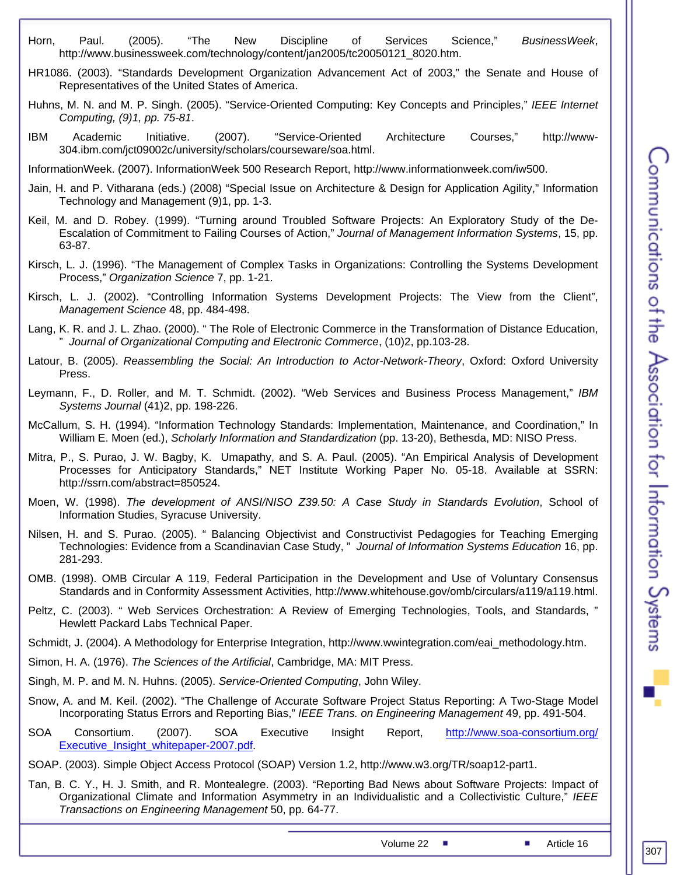- Horn, Paul. (2005). "The New Discipline of Services Science," *BusinessWeek*, [http://www.businessweek.com/technology/content/jan2005/tc20050121\\_8020.htm.](http://www.businessweek.com/technology/content/jan2005/tc20050121_8020.htm)
- HR1086. (2003). "Standards Development Organization Advancement Act of 2003," the Senate and House of Representatives of the United States of America.
- Huhns, M. N. and M. P. Singh. (2005). "Service-Oriented Computing: Key Concepts and Principles," *IEEE Internet Computing, (9)1, pp. 75-81*.
- IBM Academic Initiative. (2007). "Service-Oriented Architecture Courses," [http://www-](http://www-304.ibm.com/jct09002c/university/scholars/courseware/soa.html)[304.ibm.com/jct09002c/university/scholars/courseware/soa.html.](http://www-304.ibm.com/jct09002c/university/scholars/courseware/soa.html)

InformationWeek. (2007). InformationWeek 500 Research Report, [http://www.informationweek.com/iw500.](http://www.informationweek.com/iw500/)

- Jain, H. and P. Vitharana (eds.) (2008) "Special Issue on Architecture & Design for Application Agility," Information Technology and Management (9)1, pp. 1-3.
- Keil, M. and D. Robey. (1999). "Turning around Troubled Software Projects: An Exploratory Study of the De-Escalation of Commitment to Failing Courses of Action," *Journal of Management Information Systems*, 15, pp. 63-87.
- Kirsch, L. J. (1996). "The Management of Complex Tasks in Organizations: Controlling the Systems Development Process," *Organization Science* 7, pp. 1-21.
- Kirsch, L. J. (2002). "Controlling Information Systems Development Projects: The View from the Client", *Management Science* 48, pp. 484-498.
- Lang, K. R. and J. L. Zhao. (2000). " The Role of Electronic Commerce in the Transformation of Distance Education, " *Journal of Organizational Computing and Electronic Commerce*, (10)2, pp.103-28.
- Latour, B. (2005). *Reassembling the Social: An Introduction to Actor-Network-Theory*, Oxford: Oxford University Press.
- Leymann, F., D. Roller, and M. T. Schmidt. (2002). "Web Services and Business Process Management," *IBM Systems Journal* (41)2, pp. 198-226.
- McCallum, S. H. (1994). "Information Technology Standards: Implementation, Maintenance, and Coordination," In William E. Moen (ed.), *Scholarly Information and Standardization* (pp. 13-20), Bethesda, MD: NISO Press.
- Mitra, P., S. Purao, J. W. Bagby, K. Umapathy, and S. A. Paul. (2005). "An Empirical Analysis of Development Processes for Anticipatory Standards," NET Institute Working Paper No. 05-18. Available at SSRN: http://ssrn.com/abstract=850524.
- Moen, W. (1998). *The development of ANSI/NISO Z39.50: A Case Study in Standards Evolution*, School of Information Studies, Syracuse University.
- Nilsen, H. and S. Purao. (2005). " Balancing Objectivist and Constructivist Pedagogies for Teaching Emerging Technologies: Evidence from a Scandinavian Case Study, " *Journal of Information Systems Education* 16, pp. 281-293.
- OMB. (1998). OMB Circular A 119, Federal Participation in the Development and Use of Voluntary Consensus Standards and in Conformity Assessment Activities,<http://www.whitehouse.gov/omb/circulars/a119/a119.html>.
- Peltz, C. (2003). " Web Services Orchestration: A Review of Emerging Technologies, Tools, and Standards, " Hewlett Packard Labs Technical Paper.
- Schmidt, J. (2004). A Methodology for Enterprise Integration, [http://www.wwintegration.com/eai\\_methodology.htm](http://www.wwintegration.com/eai_methodology.htm).
- Simon, H. A. (1976). *The Sciences of the Artificial*, Cambridge, MA: MIT Press.
- Singh, M. P. and M. N. Huhns. (2005). *Service-Oriented Computing*, John Wiley.
- Snow, A. and M. Keil. (2002). "The Challenge of Accurate Software Project Status Reporting: A Two-Stage Model Incorporating Status Errors and Reporting Bias," *IEEE Trans. on Engineering Management* 49, pp. 491-504.
- SOA Consortium. (2007). SOA Executive Insight Report, http://www.soa-consortium.org/ [Executive\\_Insight\\_whitepaper-2007.pdf.](http://www.soa-consortium.org/%20Executive_Insight_whitepaper-2007.pdf)
- SOAP. (2003). Simple Object Access Protocol (SOAP) Version 1.2,<http://www.w3.org/TR/soap12-part1>.
- Tan, B. C. Y., H. J. Smith, and R. Montealegre. (2003). "Reporting Bad News about Software Projects: Impact of Organizational Climate and Information Asymmetry in an Individualistic and a Collectivistic Culture," *IEEE Transactions on Engineering Management* 50, pp. 64-77.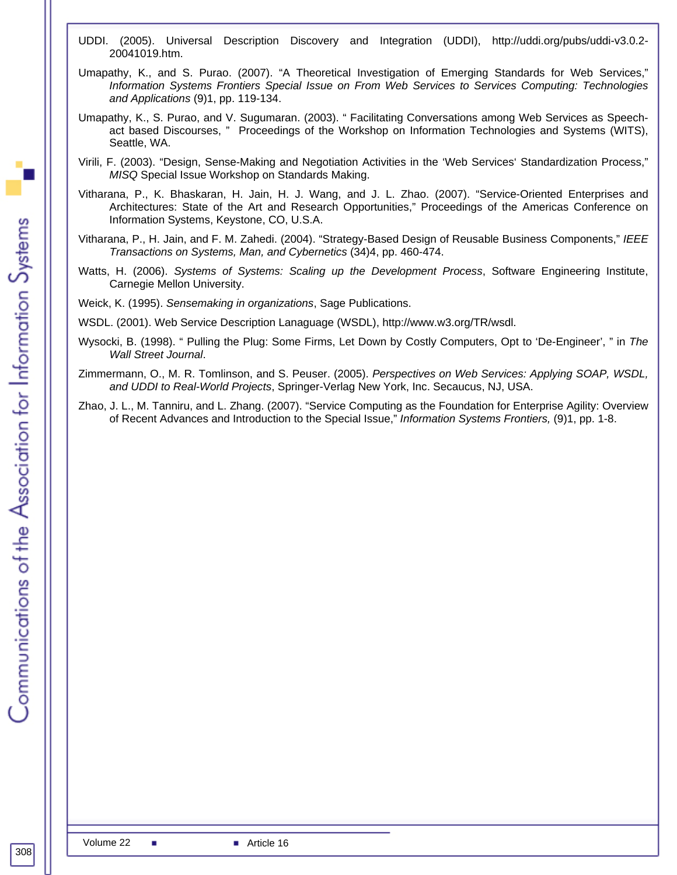- UDDI. (2005). Universal Description Discovery and Integration (UDDI), [http://uddi.org/pubs/uddi-v3.0.2-](http://uddi.org/pubs/uddi-v3.0.2-20041019.htm) [20041019.htm.](http://uddi.org/pubs/uddi-v3.0.2-20041019.htm)
- Umapathy, K., and S. Purao. (2007). "A Theoretical Investigation of Emerging Standards for Web Services," *Information Systems Frontiers Special Issue on From Web Services to Services Computing: Technologies and Applications* (9)1, pp. 119-134.
- Umapathy, K., S. Purao, and V. Sugumaran. (2003). " Facilitating Conversations among Web Services as Speechact based Discourses, " Proceedings of the Workshop on Information Technologies and Systems (WITS), Seattle, WA.
- Virili, F. (2003). "Design, Sense-Making and Negotiation Activities in the 'Web Services' Standardization Process," *MISQ* Special Issue Workshop on Standards Making.
- Vitharana, P., K. Bhaskaran, H. Jain, H. J. Wang, and J. L. Zhao. (2007). "Service-Oriented Enterprises and Architectures: State of the Art and Research Opportunities," Proceedings of the Americas Conference on Information Systems, Keystone, CO, U.S.A.
- Vitharana, P., H. Jain, and F. M. Zahedi. (2004). "Strategy-Based Design of Reusable Business Components," *IEEE Transactions on Systems, Man, and Cybernetics* (34)4, pp. 460-474.
- Watts, H. (2006). *Systems of Systems: Scaling up the Development Process*, Software Engineering Institute, Carnegie Mellon University.
- Weick, K. (1995). *Sensemaking in organizations*, Sage Publications.
- WSDL. (2001). Web Service Description Lanaguage (WSDL),<http://www.w3.org/TR/wsdl>.
- Wysocki, B. (1998). " Pulling the Plug: Some Firms, Let Down by Costly Computers, Opt to 'De-Engineer', " in *The Wall Street Journal*.
- Zimmermann, O., M. R. Tomlinson, and S. Peuser. (2005). *Perspectives on Web Services: Applying SOAP, WSDL, and UDDI to Real-World Projects*, Springer-Verlag New York, Inc. Secaucus, NJ, USA.
- Zhao, J. L., M. Tanniru, and L. Zhang. (2007). "Service Computing as the Foundation for Enterprise Agility: Overview of Recent Advances and Introduction to the Special Issue," *Information Systems Frontiers,* (9)1, pp. 1-8.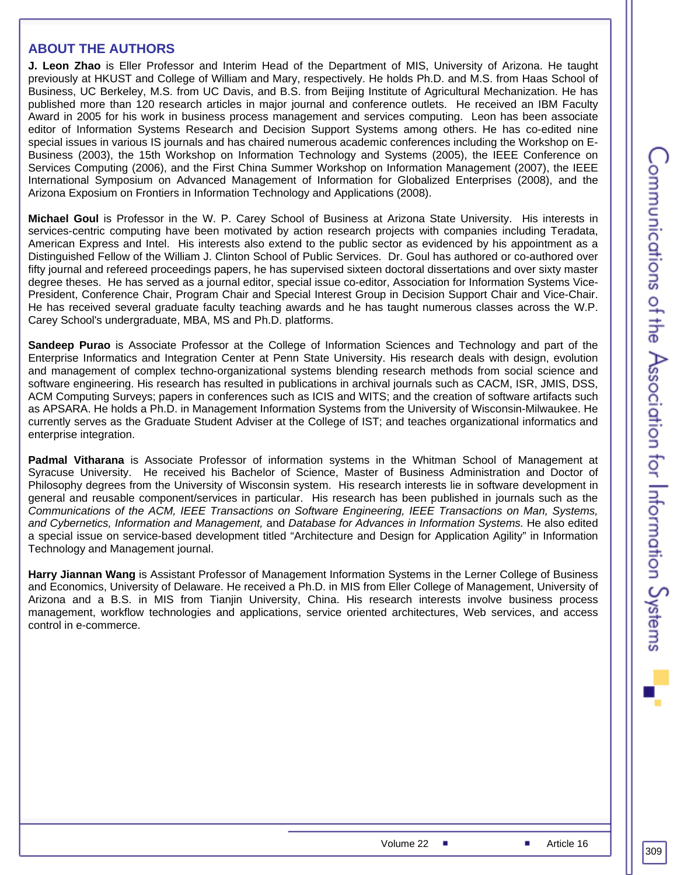#### **ABOUT THE AUTHORS**

**J. Leon Zhao** is Eller Professor and Interim Head of the Department of MIS, University of Arizona. He taught previously at HKUST and College of William and Mary, respectively. He holds Ph.D. and M.S. from Haas School of Business, UC Berkeley, M.S. from UC Davis, and B.S. from Beijing Institute of Agricultural Mechanization. He has published more than 120 research articles in major journal and conference outlets. He received an IBM Faculty Award in 2005 for his work in business process management and services computing. Leon has been associate editor of Information Systems Research and Decision Support Systems among others. He has co-edited nine special issues in various IS journals and has chaired numerous academic conferences including the Workshop on E-Business (2003), the 15th Workshop on Information Technology and Systems (2005), the IEEE Conference on Services Computing (2006), and the First China Summer Workshop on Information Management (2007), the IEEE International Symposium on Advanced Management of Information for Globalized Enterprises (2008), and the Arizona Exposium on Frontiers in Information Technology and Applications (2008).

**Michael Goul** is Professor in the W. P. Carey School of Business at Arizona State University. His interests in services-centric computing have been motivated by action research projects with companies including Teradata, American Express and Intel. His interests also extend to the public sector as evidenced by his appointment as a Distinguished Fellow of the William J. Clinton School of Public Services. Dr. Goul has authored or co-authored over fifty journal and refereed proceedings papers, he has supervised sixteen doctoral dissertations and over sixty master degree theses. He has served as a journal editor, special issue co-editor, Association for Information Systems Vice-President, Conference Chair, Program Chair and Special Interest Group in Decision Support Chair and Vice-Chair. He has received several graduate faculty teaching awards and he has taught numerous classes across the W.P. Carey School's undergraduate, MBA, MS and Ph.D. platforms.

**Sandeep Purao** is Associate Professor at the College of Information Sciences and Technology and part of the Enterprise Informatics and Integration Center at Penn State University. His research deals with design, evolution and management of complex techno-organizational systems blending research methods from social science and software engineering. His research has resulted in publications in archival journals such as CACM, ISR, JMIS, DSS, ACM Computing Surveys; papers in conferences such as ICIS and WITS; and the creation of software artifacts such as APSARA. He holds a Ph.D. in Management Information Systems from the University of Wisconsin-Milwaukee. He currently serves as the Graduate Student Adviser at the College of IST; and teaches organizational informatics and enterprise integration.

**Padmal Vitharana** is Associate Professor of information systems in the Whitman School of Management at Syracuse University. He received his Bachelor of Science, Master of Business Administration and Doctor of Philosophy degrees from the University of Wisconsin system. His research interests lie in software development in general and reusable component/services in particular. His research has been published in journals such as the *Communications of the ACM, IEEE Transactions on Software Engineering, IEEE Transactions on Man, Systems, and Cybernetics, Information and Management,* and *Database for Advances in Information Systems.* He also edited a special issue on service-based development titled "Architecture and Design for Application Agility" in Information Technology and Management journal.

**Harry Jiannan Wang** is Assistant Professor of Management Information Systems in the Lerner College of Business and Economics, University of Delaware. He received a Ph.D. in MIS from Eller College of Management, University of Arizona and a B.S. in MIS from Tianjin University, China. His research interests involve business process management, workflow technologies and applications, service oriented architectures, Web services, and access control in e-commerce.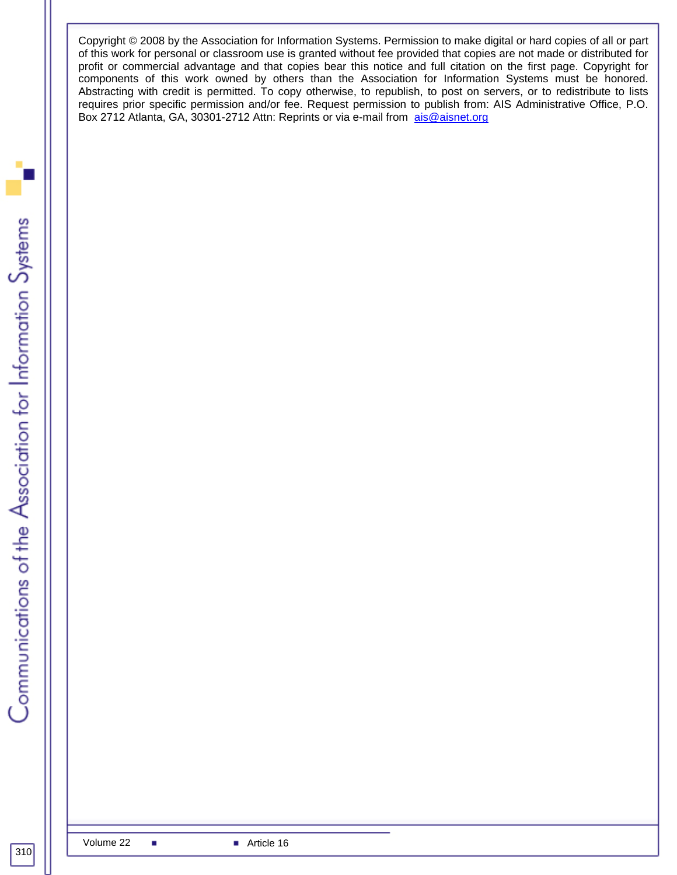Copyright © 2008 by the Association for Information Systems. Permission to make digital or hard copies of all or part of this work for personal or classroom use is granted without fee provided that copies are not made or distributed for profit or commercial advantage and that copies bear this notice and full citation on the first page. Copyright for components of this work owned by others than the Association for Information Systems must be honored. Abstracting with credit is permitted. To copy otherwise, to republish, to post on servers, or to redistribute to lists requires prior specific permission and/or fee. Request permission to publish from: AIS Administrative Office, P.O. Box 2712 Atlanta, GA, 30301-2712 Attn: Reprints or via e-mail from [ais@aisnet.org](mailto:ais@gsu.edu)